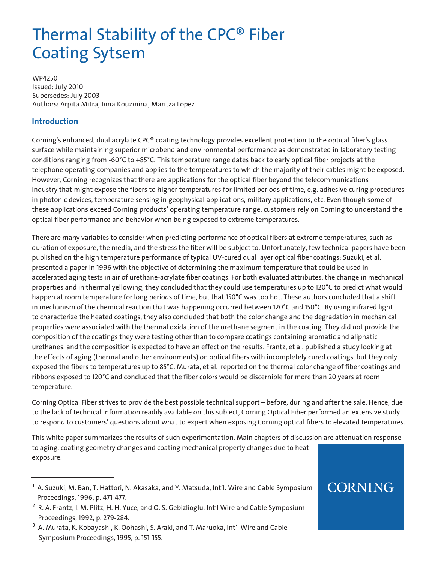# Thermal Stability of the CPC® Fiber Coating Sytsem

WP4250 Issued: July 2010 Supersedes: July 2003 Authors: Arpita Mitra, Inna Kouzmina, Maritza Lopez

#### **Introduction**

Corning's enhanced, dual acrylate CPC® coating technology provides excellent protection to the optical fiber's glass surface while maintaining superior microbend and environmental performance as demonstrated in laboratory testing conditions ranging from -60°C to +85°C. This temperature range dates back to early optical fiber projects at the telephone operating companies and applies to the temperatures to which the majority of their cables might be exposed. However, Corning recognizes that there are applications for the optical fiber beyond the telecommunications industry that might expose the fibers to higher temperatures for limited periods of time, e.g. adhesive curing procedures in photonic devices, temperature sensing in geophysical applications, military applications, etc. Even though some of these applications exceed Corning products' operating temperature range, customers rely on Corning to understand the optical fiber performance and behavior when being exposed to extreme temperatures.

There are many variables to consider when predicting performance of optical fibers at extreme temperatures, such as duration of exposure, the media, and the stress the fiber will be subject to. Unfortunately, few technical papers have been published on the high temperature performance of typical UV-cured dual layer optical fiber coatings: Suzuki, et al. presented a paper in 1996 with the objective of determining the maximum temperature that could be used in accelerated aging tests in air of urethane-acrylate fiber coatings. For both evaluated attributes, the change in mechanical properties and in thermal yellowing, they concluded that they could use temperatures up to 120°C to predict what would happen at room temperature for long periods of time, but that 150°C was too hot. These authors concluded that a shift in mechanism of the chemical reaction that was happening occurred between 120°C and 150°C. By using infrared light to characterize the heated coatings, they also concluded that both the color change and the degradation in mechanical properties were associated with the thermal oxidation of the urethane segment in the coating. They did not provide the composition of the coatings they were testing other than to compare coatings containing aromatic and aliphatic urethanes, and the composition is expected to have an effect on the results. Frantz, et al. published a study looking at the effects of aging (thermal and other environments) on optical fibers with incompletely cured coatings, but they only exposed the fibers to temperatures up to 85°C. Murata, et al. reported on the thermal color change of fiber coatings and ribbons exposed to 120°C and concluded that the fiber colors would be discernible for more than 20 years at room temperature.

Corning Optical Fiber strives to provide the best possible technical support – before, during and after the sale. Hence, due to the lack of technical information readily available on this subject, Corning Optical Fiber performed an extensive study to respond to customers' questions about what to expect when exposing Corning optical fibers to elevated temperatures.

This white paper summarizes the results of such experimentation. Main chapters of discussion are attenuation response to aging, coating geometry changes and coating mechanical property changes due to heat exposure.

## **CORNING**

<sup>&</sup>lt;sup>1</sup> A. Suzuki, M. Ban, T. Hattori, N. Akasaka, and Y. Matsuda, Int'l. Wire and Cable Symposium Proceedings, 1996, p. 471-477.

 $^2$  R. A. Frantz, I. M. Plitz, H. H. Yuce, and O. S. Gebizlioglu, Int'l Wire and Cable Symposium Proceedings, 1992, p. 279-284.

 $^3\,$  A. Murata, K. Kobayashi, K. Oohashi, S. Araki, and T. Maruoka, Int'l Wire and Cable Symposium Proceedings, 1995, p. 151-155.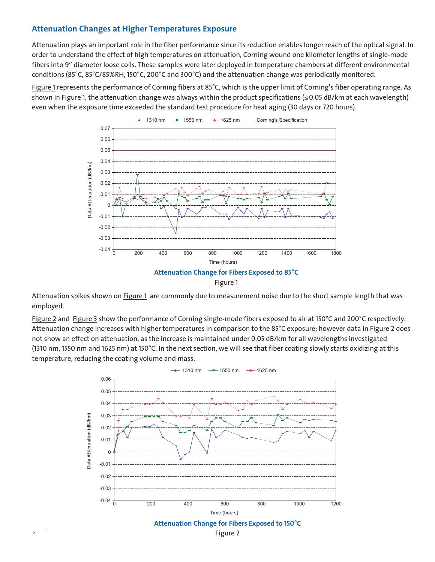#### **Attenuation Changes at Higher Temperatures Exposure**

Attenuation plays an important role in the fiber performance since its reduction enables longer reach of the optical signal. In order to understand the effect of high temperatures on attenuation, Corning wound one kilometer lengths of single-mode fibers into 9" diameter loose coils. These samples were later deployed in temperature chambers at different environmental conditions (85°C, 85°C/85%RH, 150°C, 200°C and 300°C) and the attenuation change was periodically monitored.

Figure 1 represents the performance of Corning fibers at 85°C, which is the upper limit of Corning's fiber operating range. As shown in Figure 1, the attenuation change was always within the product specifications ( $\leq$ 0.05 dB/km at each wavelength) even when the exposure time exceeded the standard test procedure for heat aging (30 days or 720 hours).



Attenuation spikes shown on Figure 1 are commonly due to measurement noise due to the short sample length that was employed.

Figure 2 and Figure 3 show the performance of Corning single-mode fibers exposed to air at 150°C and 200°C respectively. Attenuation change increases with higher temperatures in comparison to the 85°C exposure; however data in Figure 2 does not show an effect on attenuation, as the increase is maintained under 0.05 dB/km for all wavelengths investigated (1310 nm, 1550 nm and 1625 nm) at 150°C. In the next section, we will see that fiber coating slowly starts oxidizing at this temperature, reducing the coating volume and mass.



2  $\Box$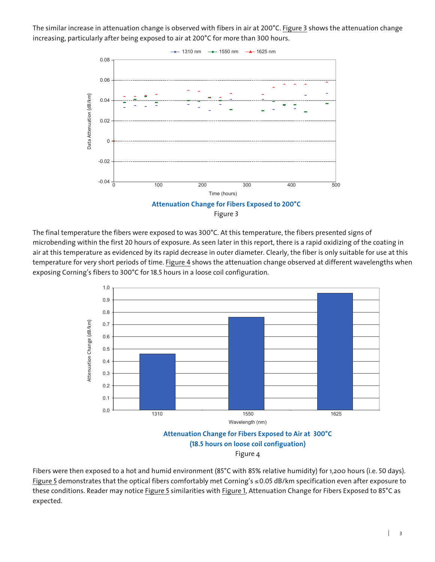The similar increase in attenuation change is observed with fibers in air at 200°C. Figure 3 shows the attenuation change increasing, particularly after being exposed to air at 200°C for more than 300 hours.



The final temperature the fibers were exposed to was 300°C. At this temperature, the fibers presented signs of microbending within the first 20 hours of exposure. As seen later in this report, there is a rapid oxidizing of the coating in air at this temperature as evidenced by its rapid decrease in outer diameter. Clearly, the fiber is only suitable for use at this temperature for very short periods of time. Figure 4 shows the attenuation change observed at different wavelengths when exposing Corning's fibers to 300°C for 18.5 hours in a loose coil configuration.





Fibers were then exposed to a hot and humid environment (85°C with 85% relative humidity) for 1,200 hours (i.e. 50 days). Figure 5 demonstrates that the optical fibers comfortably met Corning's ≤0.05 dB/km specification even after exposure to these conditions. Reader may notice Figure 5 similarities with Figure 1, Attenuation Change for Fibers Exposed to 85°C as expected.

 $\mathbb{L}$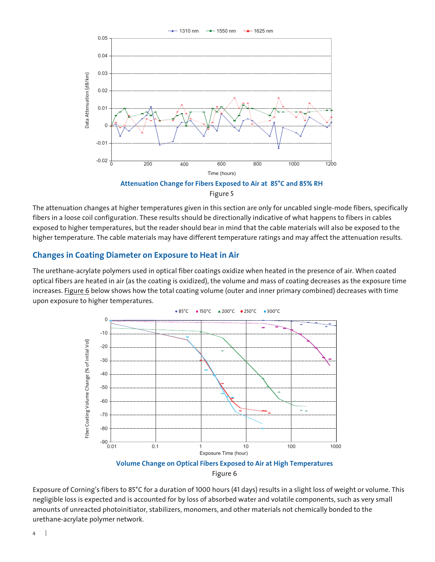

The attenuation changes at higher temperatures given in this section are only for uncabled single-mode fibers, specifically fibers in a loose coil configuration. These results should be directionally indicative of what happens to fibers in cables exposed to higher temperatures, but the reader should bear in mind that the cable materials will also be exposed to the higher temperature. The cable materials may have different temperature ratings and may affect the attenuation results.

#### **Changes in Coating Diameter on Exposure to Heat in Air**

The urethane-acrylate polymers used in optical fiber coatings oxidize when heated in the presence of air. When coated optical fibers are heated in air (as the coating is oxidized), the volume and mass of coating decreases as the exposure time increases. Figure 6 below shows how the total coating volume (outer and inner primary combined) decreases with time upon exposure to higher temperatures.



Figure 6

Exposure of Corning's fibers to 85°C for a duration of 1000 hours (41 days) results in a slight loss of weight or volume. This negligible loss is expected and is accounted for by loss of absorbed water and volatile components, such as very small amounts of unreacted photoinitiator, stabilizers, monomers, and other materials not chemically bonded to the urethane-acrylate polymer network.

4  $\overline{\phantom{a}}$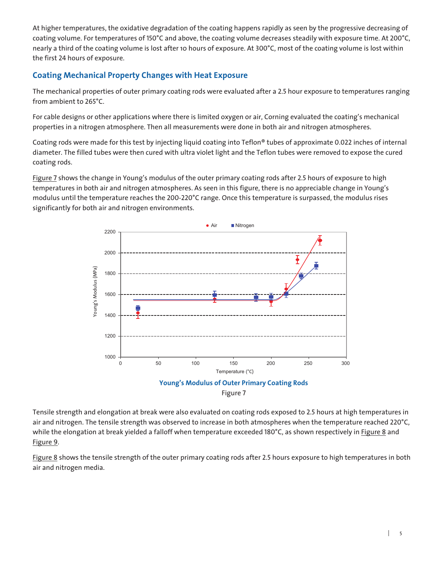At higher temperatures, the oxidative degradation of the coating happens rapidly as seen by the progressive decreasing of coating volume. For temperatures of 150°C and above, the coating volume decreases steadily with exposure time. At 200°C, nearly a third of the coating volume is lost after 10 hours of exposure. At 300°C, most of the coating volume is lost within the first 24 hours of exposure.

### **Coating Mechanical Property Changes with Heat Exposure**

The mechanical properties of outer primary coating rods were evaluated after a 2.5 hour exposure to temperatures ranging from ambient to 265°C.

For cable designs or other applications where there is limited oxygen or air, Corning evaluated the coating's mechanical properties in a nitrogen atmosphere. Then all measurements were done in both air and nitrogen atmospheres.

Coating rods were made for this test by injecting liquid coating into Teflon® tubes of approximate 0.022 inches of internal diameter. The filled tubes were then cured with ultra violet light and the Teflon tubes were removed to expose the cured coating rods.

Figure 7 shows the change in Young's modulus of the outer primary coating rods after 2.5 hours of exposure to high temperatures in both air and nitrogen atmospheres. As seen in this figure, there is no appreciable change in Young's modulus until the temperature reaches the 200-220°C range. Once this temperature is surpassed, the modulus rises significantly for both air and nitrogen environments.



Figure 7

Tensile strength and elongation at break were also evaluated on coating rods exposed to 2.5 hours at high temperatures in air and nitrogen. The tensile strength was observed to increase in both atmospheres when the temperature reached 220°C, while the elongation at break yielded a falloff when temperature exceeded 180°C, as shown respectively in Figure 8 and Figure 9.

Figure 8 shows the tensile strength of the outer primary coating rods after 2.5 hours exposure to high temperatures in both air and nitrogen media.

 $\mathbf{I}$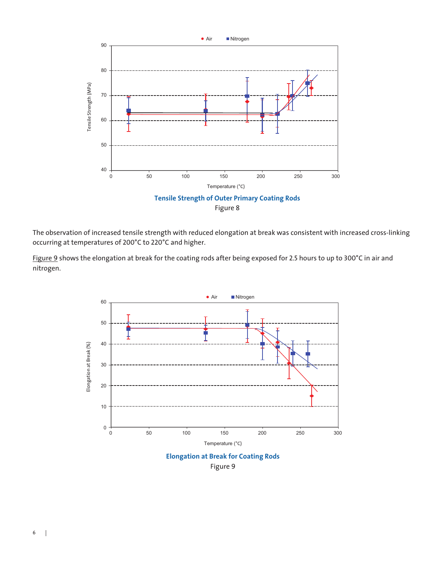

The observation of increased tensile strength with reduced elongation at break was consistent with increased cross-linking occurring at temperatures of 200°C to 220°C and higher.

Figure 9 shows the elongation at break for the coating rods after being exposed for 2.5 hours to up to 300°C in air and nitrogen.